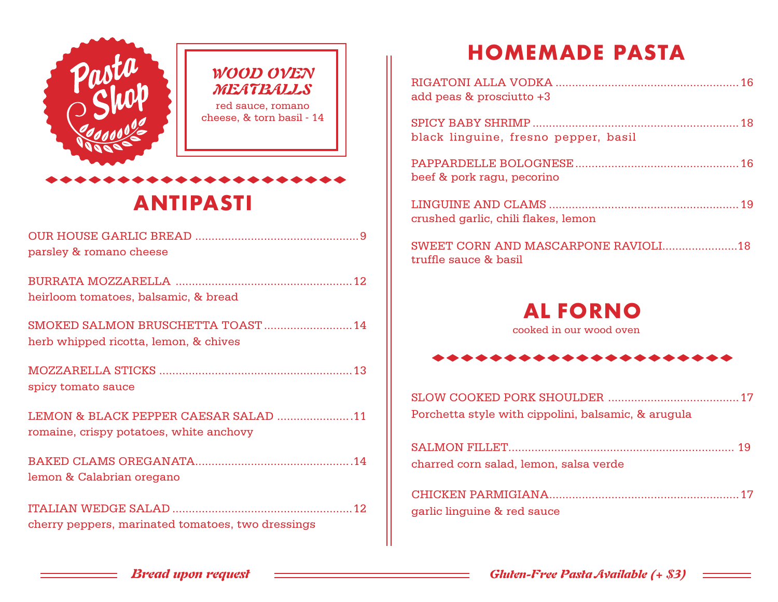

## **ANTIPASTI**

| parsley & romano cheese                                                         |  |
|---------------------------------------------------------------------------------|--|
| heirloom tomatoes, balsamic, & bread                                            |  |
| SMOKED SALMON BRUSCHETTA TOAST  14<br>herb whipped ricotta, lemon, & chives     |  |
| spicy tomato sauce                                                              |  |
| LEMON & BLACK PEPPER CAESAR SALAD 11<br>romaine, crispy potatoes, white anchovy |  |
| lemon & Calabrian oregano                                                       |  |
| cherry peppers, marinated tomatoes, two dressings                               |  |

## **HOMEMADE PASTA**

| add peas & prosciutto +3             |  |
|--------------------------------------|--|
| black linguine, fresno pepper, basil |  |
| beef & pork ragu, pecorino           |  |
| crushed garlic, chili flakes, lemon  |  |
| truffle sauce & basil                |  |



cooked in our wood oven

| Porchetta style with cippolini, balsamic, & arugula |  |
|-----------------------------------------------------|--|
|                                                     |  |

| charred corn salad, lemon, salsa verde |  |
|----------------------------------------|--|
|                                        |  |

| garlic linguine & red sauce |  |
|-----------------------------|--|